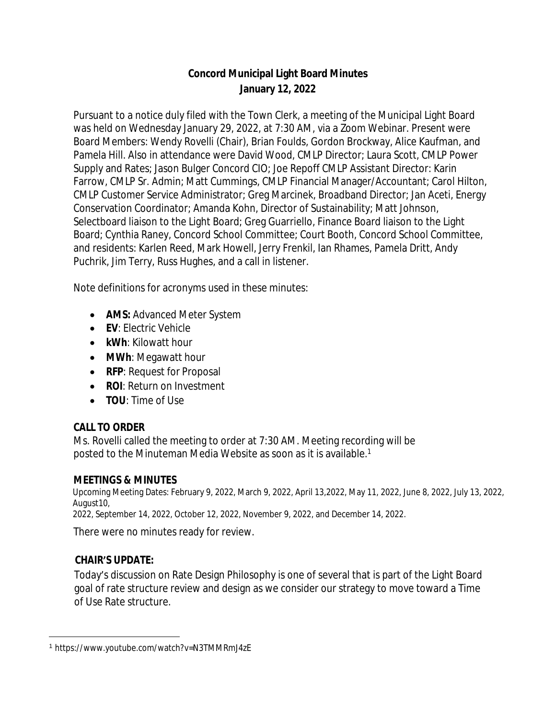# **Concord Municipal Light Board Minutes January 12, 2022**

Pursuant to a notice duly filed with the Town Clerk, a meeting of the Municipal Light Board was held on Wednesday January 29, 2022, at 7:30 AM, via a Zoom Webinar. Present were Board Members: Wendy Rovelli (Chair), Brian Foulds, Gordon Brockway, Alice Kaufman, and Pamela Hill. Also in attendance were David Wood, CMLP Director; Laura Scott, CMLP Power Supply and Rates; Jason Bulger Concord CIO; Joe Repoff CMLP Assistant Director: Karin Farrow, CMLP Sr. Admin; Matt Cummings, CMLP Financial Manager/Accountant; Carol Hilton, CMLP Customer Service Administrator; Greg Marcinek, Broadband Director; Jan Aceti, Energy Conservation Coordinator; Amanda Kohn, Director of Sustainability; Matt Johnson, Selectboard liaison to the Light Board; Greg Guarriello, Finance Board liaison to the Light Board; Cynthia Raney, Concord School Committee; Court Booth, Concord School Committee, and residents: Karlen Reed, Mark Howell, Jerry Frenkil, Ian Rhames, Pamela Dritt, Andy Puchrik, Jim Terry, Russ Hughes, and a call in listener.

Note definitions for acronyms used in these minutes:

- **AMS: Advanced Meter System**
- **EV**: Electric Vehicle
- **kWh**: Kilowatt hour
- **MWh**: Megawatt hour
- **RFP: Request for Proposal**
- **ROI: Return on Investment**
- **TOU**: Time of Use

### **CALL TO ORDER**

Ms. Rovelli called the meeting to order at 7:30 AM. Meeting recording will be posted to the Minuteman Media Website as soon as it is available.<sup>1</sup>

### **MEETINGS & MINUTES**

Upcoming Meeting Dates: February 9, 2022, March 9, 2022, April 13,2022, May 11, 2022, June 8, 2022, July 13, 2022, August10,

2022, September 14, 2022, October 12, 2022, November 9, 2022, and December 14, 2022.

There were no minutes ready for review.

### **CHAIR'S UPDATE:**

Today's discussion on Rate Design Philosophy is one of several that is part of the Light Board goal of rate structure review and design as we consider our strategy to move toward a Time of Use Rate structure.

<sup>1</sup> https://[www.youtube.com/watch?v=N3TMMRmJ4zE](http://www.youtube.com/watch?v=N3TMMRmJ4zE)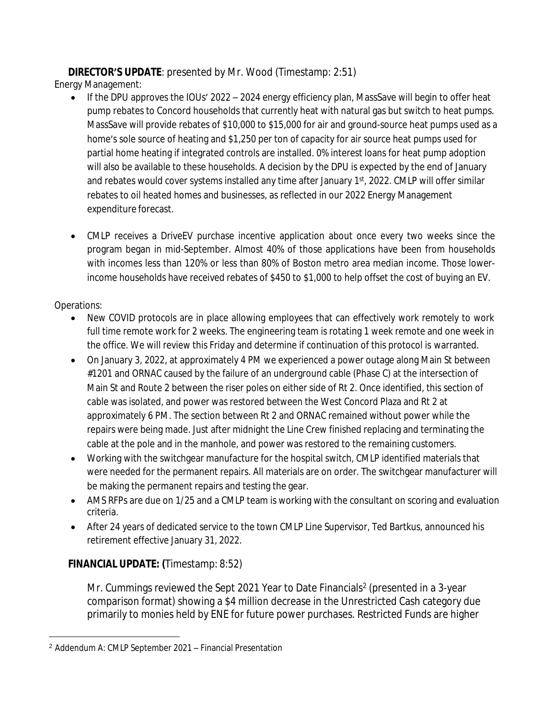# **DIRECTOR'S UPDATE**: presented by Mr. Wood (Timestamp: 2:51)

Energy Management:

- $\bullet$  If the DPU approves the IOUs' 2022 2024 energy efficiency plan, MassSave will begin to offer heat pump rebates to Concord households that currently heat with natural gas but switch to heat pumps. MassSave will provide rebates of \$10,000 to \$15,000 for air and ground-source heat pumps used as a home's sole source of heating and \$1,250 per ton of capacity for air source heat pumps used for partial home heating if integrated controls are installed. 0% interest loans for heat pump adoption will also be available to these households. A decision by the DPU is expected by the end of January and rebates would cover systems installed any time after January 1<sup>st</sup>, 2022. CMLP will offer similar rebates to oil heated homes and businesses, as reflected in our 2022 Energy Management expenditure forecast.
- CMLP receives a DriveEV purchase incentive application about once every two weeks since the program began in mid-September. Almost 40% of those applications have been from households with incomes less than 120% or less than 80% of Boston metro area median income. Those lowerincome households have received rebates of \$450 to \$1,000 to help offset the cost of buying an EV.

# Operations:

- New COVID protocols are in place allowing employees that can effectively work remotely to work full time remote work for 2 weeks. The engineering team is rotating 1 week remote and one week in the office. We will review this Friday and determine if continuation of this protocol is warranted.
- On January 3, 2022, at approximately 4 PM we experienced a power outage along Main St between #1201 and ORNAC caused by the failure of an underground cable (Phase C) at the intersection of Main St and Route 2 between the riser poles on either side of Rt 2. Once identified, this section of cable was isolated, and power was restored between the West Concord Plaza and Rt 2 at approximately 6 PM. The section between Rt 2 and ORNAC remained without power while the repairs were being made. Just after midnight the Line Crew finished replacing and terminating the cable at the pole and in the manhole, and power was restored to the remaining customers.
- Working with the switchgear manufacture for the hospital switch, CMLP identified materials that were needed for the permanent repairs. All materials are on order. The switchgear manufacturer will be making the permanent repairs and testing the gear.
- AMS RFPs are due on 1/25 and a CMLP team is working with the consultant on scoring and evaluation criteria.
- After 24 years of dedicated service to the town CMLP Line Supervisor, Ted Bartkus, announced his retirement effective January 31, 2022.

# **FINANCIAL UPDATE: (**Timestamp: 8:52)

Mr. Cummings reviewed the Sept 2021 Year to Date Financials<sup>2</sup> (presented in a 3-year comparison format) showing a \$4 million decrease in the Unrestricted Cash category due primarily to monies held by ENE for future power purchases. Restricted Funds are higher

<sup>2</sup> Addendum A: CMLP September 2021 – Financial Presentation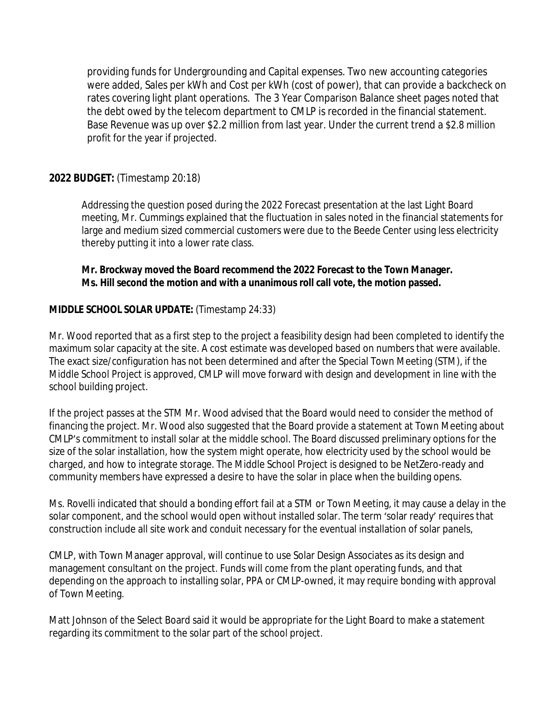providing funds for Undergrounding and Capital expenses. Two new accounting categories were added, Sales per kWh and Cost per kWh (cost of power), that can provide a backcheck on rates covering light plant operations. The 3 Year Comparison Balance sheet pages noted that the debt owed by the telecom department to CMLP is recorded in the financial statement. Base Revenue was up over \$2.2 million from last year. Under the current trend a \$2.8 million profit for the year if projected.

### **2022 BUDGET:** (Timestamp 20:18)

Addressing the question posed during the 2022 Forecast presentation at the last Light Board meeting, Mr. Cummings explained that the fluctuation in sales noted in the financial statements for large and medium sized commercial customers were due to the Beede Center using less electricity thereby putting it into a lower rate class.

**Mr. Brockway moved the Board recommend the 2022 Forecast to the Town Manager. Ms. Hill second the motion and with a unanimous roll call vote, the motion passed.**

### **MIDDLE SCHOOL SOLAR UPDATE:** (Timestamp 24:33)

Mr. Wood reported that as a first step to the project a feasibility design had been completed to identify the maximum solar capacity at the site. A cost estimate was developed based on numbers that were available. The exact size/configuration has not been determined and after the Special Town Meeting (STM), if the Middle School Project is approved, CMLP will move forward with design and development in line with the school building project.

If the project passes at the STM Mr. Wood advised that the Board would need to consider the method of financing the project. Mr. Wood also suggested that the Board provide a statement at Town Meeting about CMLP's commitment to install solar at the middle school. The Board discussed preliminary options for the size of the solar installation, how the system might operate, how electricity used by the school would be charged, and how to integrate storage. The Middle School Project is designed to be NetZero-ready and community members have expressed a desire to have the solar in place when the building opens.

Ms. Rovelli indicated that should a bonding effort fail at a STM or Town Meeting, it may cause a delay in the solar component, and the school would open without installed solar. The term 'solar ready' requires that construction include all site work and conduit necessary for the eventual installation of solar panels,

CMLP, with Town Manager approval, will continue to use Solar Design Associates as its design and management consultant on the project. Funds will come from the plant operating funds, and that depending on the approach to installing solar, PPA or CMLP-owned, it may require bonding with approval of Town Meeting.

Matt Johnson of the Select Board said it would be appropriate for the Light Board to make a statement regarding its commitment to the solar part of the school project.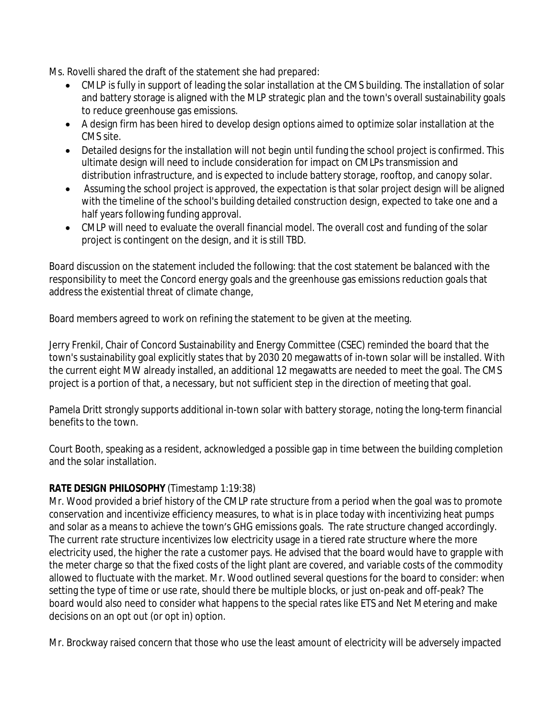Ms. Rovelli shared the draft of the statement she had prepared:

- CMLP is fully in support of leading the solar installation at the CMS building. The installation of solar and battery storage is aligned with the MLP strategic plan and the town's overall sustainability goals to reduce greenhouse gas emissions.
- A design firm has been hired to develop design options aimed to optimize solar installation at the CMS site.
- Detailed designs for the installation will not begin until funding the school project is confirmed. This ultimate design will need to include consideration for impact on CMLPs transmission and distribution infrastructure, and is expected to include battery storage, rooftop, and canopy solar.
- Assuming the school project is approved, the expectation is that solar project design will be aligned with the timeline of the school's building detailed construction design, expected to take one and a half years following funding approval.
- CMLP will need to evaluate the overall financial model. The overall cost and funding of the solar project is contingent on the design, and it is still TBD.

Board discussion on the statement included the following: that the cost statement be balanced with the responsibility to meet the Concord energy goals and the greenhouse gas emissions reduction goals that address the existential threat of climate change,

Board members agreed to work on refining the statement to be given at the meeting.

Jerry Frenkil, Chair of Concord Sustainability and Energy Committee (CSEC) reminded the board that the town's sustainability goal explicitly states that by 2030 20 megawatts of in-town solar will be installed. With the current eight MW already installed, an additional 12 megawatts are needed to meet the goal. The CMS project is a portion of that, a necessary, but not sufficient step in the direction of meeting that goal.

Pamela Dritt strongly supports additional in-town solar with battery storage, noting the long-term financial benefits to the town.

Court Booth, speaking as a resident, acknowledged a possible gap in time between the building completion and the solar installation.

# **RATE DESIGN PHILOSOPHY** (Timestamp 1:19:38)

Mr. Wood provided a brief history of the CMLP rate structure from a period when the goal was to promote conservation and incentivize efficiency measures, to what is in place today with incentivizing heat pumps and solar as a means to achieve the town's GHG emissions goals. The rate structure changed accordingly. The current rate structure incentivizes low electricity usage in a tiered rate structure where the more electricity used, the higher the rate a customer pays. He advised that the board would have to grapple with the meter charge so that the fixed costs of the light plant are covered, and variable costs of the commodity allowed to fluctuate with the market. Mr. Wood outlined several questions for the board to consider: when setting the type of time or use rate, should there be multiple blocks, or just on-peak and off-peak? The board would also need to consider what happens to the special rates like ETS and Net Metering and make decisions on an opt out (or opt in) option.

Mr. Brockway raised concern that those who use the least amount of electricity will be adversely impacted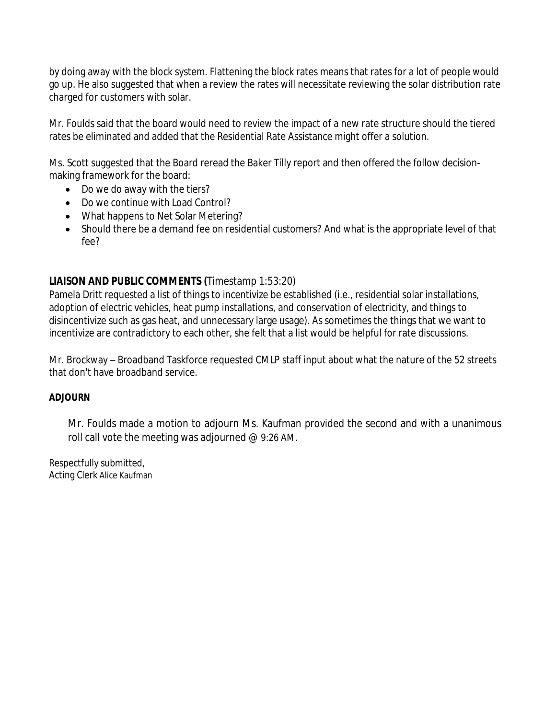by doing away with the block system. Flattening the block rates means that rates for a lot of people would go up. He also suggested that when a review the rates will necessitate reviewing the solar distribution rate charged for customers with solar.

Mr. Foulds said that the board would need to review the impact of a new rate structure should the tiered rates be eliminated and added that the Residential Rate Assistance might offer a solution.

Ms. Scott suggested that the Board reread the Baker Tilly report and then offered the follow decisionmaking framework for the board:

- Do we do away with the tiers?
- Do we continue with Load Control?
- What happens to Net Solar Metering?
- Should there be a demand fee on residential customers? And what is the appropriate level of that fee?

# **LIAISON AND PUBLIC COMMENTS (**Timestamp 1:53:20)

Pamela Dritt requested a list of things to incentivize be established (i.e., residential solar installations, adoption of electric vehicles, heat pump installations, and conservation of electricity, and things to disincentivize such as gas heat, and unnecessary large usage). As sometimes the things that we want to incentivize are contradictory to each other, she felt that a list would be helpful for rate discussions.

Mr. Brockway – Broadband Taskforce requested CMLP staff input about what the nature of the 52 streets that don't have broadband service.

### **ADJOURN**

Mr. Foulds made a motion to adjourn Ms. Kaufman provided the second and with a unanimous roll call vote the meeting was adjourned @ 9:26 AM.

Respectfully submitted, Acting Clerk Alice Kaufman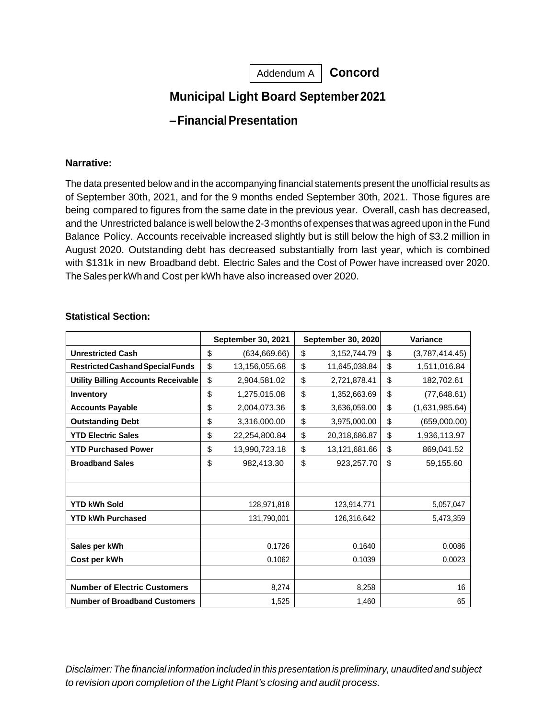Addendum A | Concord

# **Municipal Light Board September2021**

# **–FinancialPresentation**

#### **Narrative:**

The data presented below and in the accompanying financial statements present the unofficial results as of September 30th, 2021, and for the 9 months ended September 30th, 2021. Those figures are being compared to figures from the same date in the previous year. Overall, cash has decreased, and the Unrestricted balance is well below the 2-3 months of expenses that was agreed upon in the Fund Balance Policy. Accounts receivable increased slightly but is still below the high of \$3.2 million in August 2020. Outstanding debt has decreased substantially from last year, which is combined with \$131k in new Broadband debt. Electric Sales and the Cost of Power have increased over 2020. TheSales per kWhand Cost per kWh have also increased over 2020.

|                                            | September 30, 2021  | September 30, 2020 |                 | Variance |                |
|--------------------------------------------|---------------------|--------------------|-----------------|----------|----------------|
| <b>Unrestricted Cash</b>                   | \$<br>(634, 669.66) | \$                 | 3, 152, 744. 79 | \$       | (3,787,414.45) |
| Restricted Cash and Special Funds          | \$<br>13,156,055.68 | \$                 | 11,645,038.84   | \$       | 1,511,016.84   |
| <b>Utility Billing Accounts Receivable</b> | \$<br>2,904,581.02  | \$                 | 2,721,878.41    | \$       | 182,702.61     |
| Inventory                                  | \$<br>1,275,015.08  | \$                 | 1,352,663.69    | \$       | (77, 648.61)   |
| <b>Accounts Payable</b>                    | \$<br>2,004,073.36  | \$                 | 3,636,059.00    | \$       | (1,631,985.64) |
| <b>Outstanding Debt</b>                    | \$<br>3,316,000.00  | \$                 | 3,975,000.00    | \$       | (659,000.00)   |
| <b>YTD Electric Sales</b>                  | \$<br>22,254,800.84 | \$                 | 20,318,686.87   | \$       | 1,936,113.97   |
| <b>YTD Purchased Power</b>                 | \$<br>13,990,723.18 | \$                 | 13,121,681.66   | \$       | 869,041.52     |
| <b>Broadband Sales</b>                     | \$<br>982,413.30    | \$                 | 923,257.70      | \$       | 59,155.60      |
|                                            |                     |                    |                 |          |                |
|                                            |                     |                    |                 |          |                |
| <b>YTD kWh Sold</b>                        | 128,971,818         |                    | 123,914,771     |          | 5,057,047      |
| <b>YTD kWh Purchased</b>                   | 131,790,001         |                    | 126,316,642     |          | 5,473,359      |
|                                            |                     |                    |                 |          |                |
| Sales per kWh                              | 0.1726              |                    | 0.1640          |          | 0.0086         |
| Cost per kWh                               | 0.1062              |                    | 0.1039          |          | 0.0023         |
|                                            |                     |                    |                 |          |                |
| <b>Number of Electric Customers</b>        | 8,274               |                    | 8,258           |          | 16             |
| <b>Number of Broadband Customers</b>       | 1,525               |                    | 1,460           |          | 65             |

#### **Statistical Section:**

*Disclaimer: The financial information included in this presentation is preliminary, unaudited and subject to revision upon completion of the Light Plant's closing and audit process.*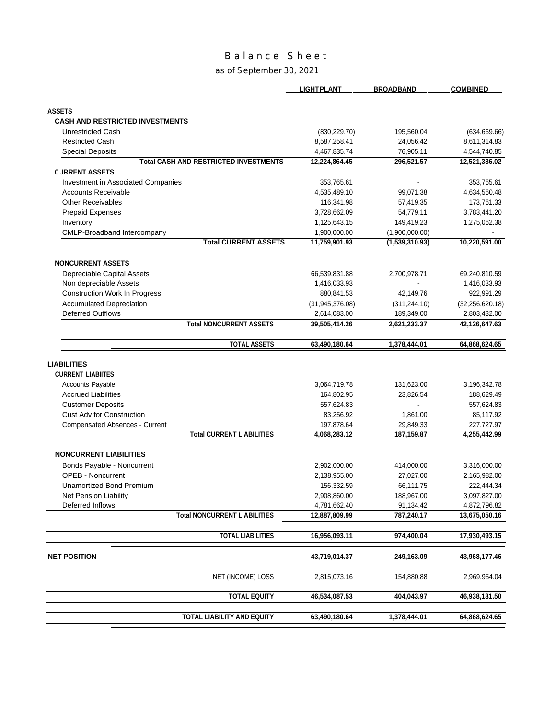# Balance Sheet

#### as of September 30, 2021

|                                                                           | <b>LIGHT PLANT</b>            | <b>BROADBAND</b>        | <b>COMBINED</b>               |
|---------------------------------------------------------------------------|-------------------------------|-------------------------|-------------------------------|
|                                                                           |                               |                         |                               |
| <b>ASSETS</b><br><b>CASH AND RESTRICTED INVESTMENTS</b>                   |                               |                         |                               |
|                                                                           |                               |                         |                               |
| <b>Unrestricted Cash</b><br><b>Restricted Cash</b>                        | (830, 229.70)<br>8,587,258.41 | 195,560.04<br>24,056.42 | (634, 669.66)<br>8,611,314.83 |
| <b>Special Deposits</b>                                                   | 4,467,835.74                  | 76,905.11               | 4,544,740.85                  |
| <b>Total CASH AND RESTRICTED INVESTMENTS</b>                              | 12,224,864.45                 | 296,521.57              | 12,521,386.02                 |
| <b>C JRRENT ASSETS</b>                                                    |                               |                         |                               |
| Investment in Associated Companies                                        | 353,765.61                    |                         | 353,765.61                    |
| <b>Accounts Receivable</b>                                                | 4,535,489.10                  | 99,071.38               | 4,634,560.48                  |
| <b>Other Receivables</b>                                                  | 116,341.98                    | 57,419.35               | 173,761.33                    |
| <b>Prepaid Expenses</b>                                                   | 3,728,662.09                  | 54,779.11               | 3,783,441.20                  |
| Inventory                                                                 | 1,125,643.15                  | 149,419.23              | 1,275,062.38                  |
| CMLP-Broadband Intercompany                                               | 1,900,000.00                  | (1,900,000.00)          |                               |
| <b>Total CURRENT ASSETS</b>                                               | 11,759,901.93                 | (1,539,310.93)          | 10,220,591.00                 |
| <b>NONCURRENT ASSETS</b>                                                  |                               |                         |                               |
| Depreciable Capital Assets                                                | 66,539,831.88                 | 2,700,978.71            | 69,240,810.59                 |
| Non depreciable Assets                                                    | 1,416,033.93                  |                         | 1,416,033.93                  |
| <b>Construction Work In Progress</b>                                      | 880,841.53                    | 42,149.76               | 922,991.29                    |
| <b>Accumulated Depreciation</b>                                           | (31, 945, 376.08)             | (311, 244.10)           | (32, 256, 620.18)             |
| <b>Deferred Outflows</b>                                                  | 2,614,083.00                  | 189,349.00              | 2,803,432.00                  |
| <b>Total NONCURRENT ASSETS</b>                                            | 39,505,414.26                 | 2,621,233.37            | 42,126,647.63                 |
| <b>TOTAL ASSETS</b>                                                       | 63,490,180.64                 | 1,378,444.01            | 64,868,624.65                 |
|                                                                           |                               |                         |                               |
| <b>LIABILITIES</b>                                                        |                               |                         |                               |
| <b>CURRENT LIABIITES</b>                                                  |                               |                         |                               |
| <b>Accounts Payable</b><br><b>Accrued Liabilities</b>                     | 3,064,719.78<br>164,802.95    | 131,623.00<br>23,826.54 | 3,196,342.78<br>188,629.49    |
| <b>Customer Deposits</b>                                                  | 557,624.83                    |                         | 557,624.83                    |
| <b>Cust Adv for Construction</b>                                          |                               |                         |                               |
|                                                                           | 83,256.92                     | 1,861.00                | 85,117.92                     |
| <b>Compensated Absences - Current</b><br><b>Total CURRENT LIABILITIES</b> | 197,878.64<br>4,068,283.12    | 29,849.33<br>187,159.87 | 227,727.97<br>4,255,442.99    |
|                                                                           |                               |                         |                               |
| <b>NONCURRENT LIABILITIES</b>                                             |                               |                         |                               |
| Bonds Payable - Noncurrent                                                | 2,902,000.00                  | 414,000.00              | 3,316,000.00                  |
| <b>OPEB - Noncurrent</b>                                                  | 2,138,955.00                  | 27,027.00               | 2,165,982.00                  |
| Unamortized Bond Premium                                                  | 156,332.59                    | 66,111.75               | 222,444.34                    |
| Net Pension Liability                                                     | 2,908,860.00                  | 188,967.00              | 3,097,827.00                  |
| Deferred Inflows                                                          | 4,781,662.40                  | 91,134.42               | 4,872,796.82                  |
| <b>Total NONCURRENT LIABILITIES</b>                                       | 12,887,809.99                 | 787,240.17              | 13,675,050.16                 |
| <b>TOTAL LIABILITIES</b>                                                  | 16,956,093.11                 | 974,400.04              | 17,930,493.15                 |
|                                                                           |                               |                         |                               |
| <b>NET POSITION</b>                                                       | 43,719,014.37                 | 249,163.09              | 43,968,177.46                 |
| NET (INCOME) LOSS                                                         | 2,815,073.16                  | 154,880.88              | 2,969,954.04                  |
| <b>TOTAL EQUITY</b>                                                       | 46,534,087.53                 | 404,043.97              | 46,938,131.50                 |
| TOTAL LIABILITY AND EQUITY                                                | 63,490,180.64                 | 1,378,444.01            | 64,868,624.65                 |
|                                                                           |                               |                         |                               |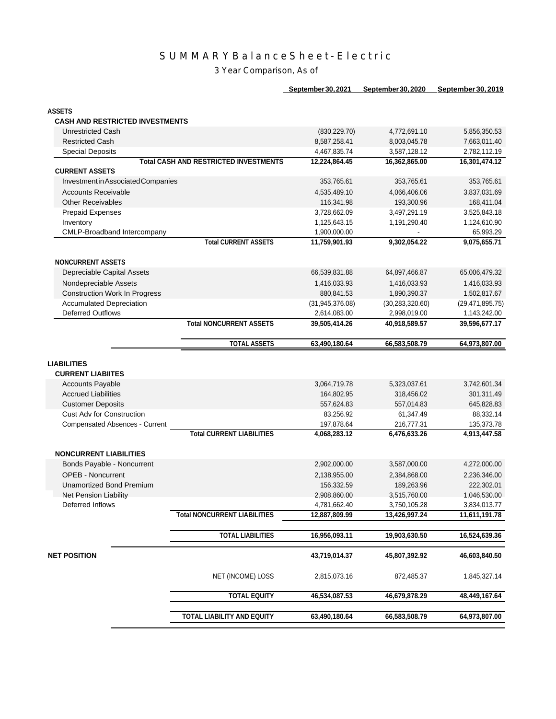# SUMMARYBalanceSheet-Electric

3 Year Comparison, As of

| <b>September 30, 2021</b> | September 30, 2020 | <u>September 30, 2019</u> |
|---------------------------|--------------------|---------------------------|
|                           |                    |                           |

| <b>ASSETS</b>                          |                                              |                 |                   |                   |
|----------------------------------------|----------------------------------------------|-----------------|-------------------|-------------------|
| <b>CASH AND RESTRICTED INVESTMENTS</b> |                                              |                 |                   |                   |
| Unrestricted Cash                      |                                              | (830, 229.70)   | 4,772,691.10      | 5,856,350.53      |
| <b>Restricted Cash</b>                 |                                              | 8,587,258.41    | 8,003,045.78      | 7,663,011.40      |
| <b>Special Deposits</b>                |                                              | 4,467,835.74    | 3,587,128.12      | 2,782,112.19      |
|                                        | <b>Total CASH AND RESTRICTED INVESTMENTS</b> | 12,224,864.45   | 16,362,865.00     | 16,301,474.12     |
| <b>CURRENT ASSETS</b>                  |                                              |                 |                   |                   |
| Investment in Associated Companies     |                                              | 353,765.61      | 353,765.61        | 353,765.61        |
| <b>Accounts Receivable</b>             |                                              | 4,535,489.10    | 4,066,406.06      | 3,837,031.69      |
| <b>Other Receivables</b>               |                                              | 116,341.98      | 193,300.96        | 168,411.04        |
| <b>Prepaid Expenses</b>                |                                              | 3,728,662.09    | 3,497,291.19      | 3,525,843.18      |
| Inventory                              |                                              | 1,125,643.15    | 1,191,290.40      | 1,124,610.90      |
| CMLP-Broadband Intercompany            |                                              | 1,900,000.00    |                   | 65,993.29         |
|                                        | <b>Total CURRENT ASSETS</b>                  | 11,759,901.93   | 9,302,054.22      | 9,075,655.71      |
|                                        |                                              |                 |                   |                   |
| <b>NONCURRENT ASSETS</b>               |                                              |                 |                   |                   |
| Depreciable Capital Assets             |                                              | 66,539,831.88   | 64,897,466.87     | 65,006,479.32     |
| Nondepreciable Assets                  |                                              | 1,416,033.93    | 1,416,033.93      | 1,416,033.93      |
| <b>Construction Work In Progress</b>   |                                              | 880,841.53      | 1,890,390.37      | 1,502,817.67      |
| <b>Accumulated Depreciation</b>        |                                              | (31,945,376.08) | (30, 283, 320.60) | (29, 471, 895.75) |
| <b>Deferred Outflows</b>               |                                              | 2,614,083.00    | 2,998,019.00      | 1,143,242.00      |
|                                        | <b>Total NONCURRENT ASSETS</b>               | 39,505,414.26   | 40,918,589.57     | 39,596,677.17     |
|                                        | <b>TOTAL ASSETS</b>                          |                 |                   | 64,973,807.00     |
|                                        |                                              | 63,490,180.64   | 66,583,508.79     |                   |
| <b>LIABILITIES</b>                     |                                              |                 |                   |                   |
| <b>CURRENT LIABIITES</b>               |                                              |                 |                   |                   |
| <b>Accounts Payable</b>                |                                              | 3,064,719.78    | 5,323,037.61      | 3,742,601.34      |
| <b>Accrued Liabilities</b>             |                                              | 164,802.95      | 318,456.02        | 301,311.49        |
| <b>Customer Deposits</b>               |                                              | 557,624.83      | 557,014.83        | 645,828.83        |
| <b>Cust Adv for Construction</b>       |                                              | 83,256.92       | 61,347.49         | 88,332.14         |
| <b>Compensated Absences - Current</b>  |                                              | 197,878.64      | 216,777.31        | 135,373.78        |
|                                        | <b>Total CURRENT LIABILITIES</b>             | 4,068,283.12    | 6,476,633.26      | 4,913,447.58      |
|                                        |                                              |                 |                   |                   |
| <b>NONCURRENT LIABILITIES</b>          |                                              |                 |                   |                   |
| Bonds Payable - Noncurrent             |                                              | 2,902,000.00    | 3,587,000.00      | 4,272,000.00      |
| <b>OPEB - Noncurrent</b>               |                                              | 2,138,955.00    | 2,384,868.00      | 2,236,346.00      |
| Unamortized Bond Premium               |                                              | 156,332.59      | 189,263.96        | 222,302.01        |
| Net Pension Liability                  |                                              | 2,908,860.00    | 3,515,760.00      | 1,046,530.00      |
| Deferred Inflows                       |                                              | 4,781,662.40    | 3,750,105.28      | 3,834,013.77      |
|                                        | <b>Total NONCURRENT LIABILITIES</b>          | 12,887,809.99   | 13,426,997.24     | 11,611,191.78     |
|                                        |                                              |                 |                   |                   |
|                                        | <b>TOTAL LIABILITIES</b>                     | 16,956,093.11   | 19,903,630.50     | 16,524,639.36     |
|                                        |                                              |                 |                   |                   |
| <b>NET POSITION</b>                    |                                              | 43,719,014.37   | 45,807,392.92     | 46,603,840.50     |
|                                        |                                              |                 |                   |                   |
|                                        | NET (INCOME) LOSS                            | 2,815,073.16    | 872,485.37        | 1,845,327.14      |
|                                        |                                              |                 |                   |                   |
|                                        | <b>TOTAL EQUITY</b>                          | 46,534,087.53   | 46,679,878.29     | 48,449,167.64     |
|                                        |                                              |                 |                   |                   |
|                                        | <b>TOTAL LIABILITY AND EQUITY</b>            | 63,490,180.64   | 66,583,508.79     | 64,973,807.00     |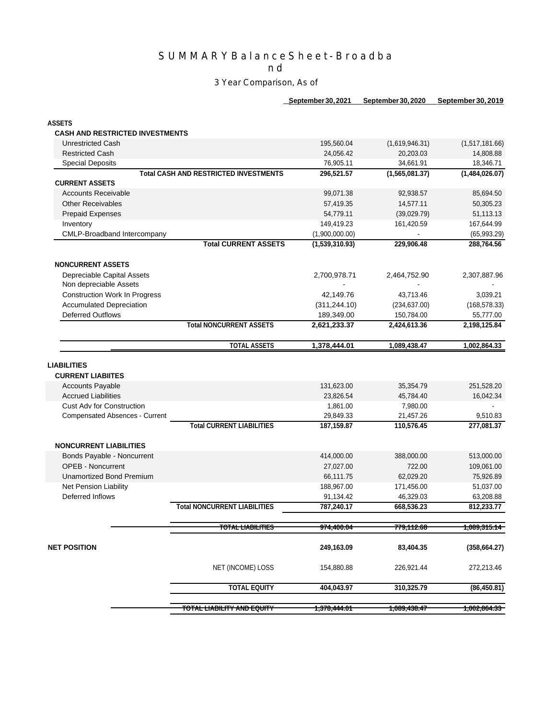### SUMMARYBalanceSheet-Broadba

n d

#### 3 Year Comparison, As of

**September30,2021 September30,2020 September 30, 2019**

**ASSETS**

#### **CASH AND RESTRICTED INVESTMENTS**

|                                                | <b>TOTAL EQUITY</b>                          | 404,043.97                 | 310,325.79                 | (86, 450.81)              |
|------------------------------------------------|----------------------------------------------|----------------------------|----------------------------|---------------------------|
|                                                | NET (INCOME) LOSS                            | 154,880.88                 | 226,921.44                 | 272,213.46                |
| <b>NET POSITION</b>                            |                                              | 249,163.09                 | 83,404.35                  | (358, 664.27)             |
|                                                | TOTAL LIABILITIES                            | <del>974,400.04</del>      | <del>779,112.68</del>      | <del>1,089,315.14  </del> |
|                                                | <b>Total NONCURRENT LIABILITIES</b>          | 787,240.17                 | 668,536.23                 | 812,233.77                |
| Deferred Inflows                               |                                              | 91,134.42                  | 46,329.03                  | 63,208.88                 |
| Net Pension Liability                          |                                              | 188,967.00                 | 171,456.00                 | 51,037.00                 |
| <b>Unamortized Bond Premium</b>                |                                              | 66,111.75                  | 62,029.20                  | 75,926.89                 |
| <b>OPEB - Noncurrent</b>                       |                                              | 27,027.00                  | 722.00                     | 109,061.00                |
| Bonds Payable - Noncurrent                     |                                              | 414,000.00                 | 388,000.00                 | 513,000.00                |
| <b>NONCURRENT LIABILITIES</b>                  |                                              |                            |                            |                           |
|                                                | <b>Total CURRENT LIABILITIES</b>             | 187,159.87                 | 110,576.45                 | 277,081.37                |
| Compensated Absences - Current                 |                                              | 29,849.33                  | 21,457.26                  | 9,510.83                  |
| <b>Cust Adv for Construction</b>               |                                              | 1,861.00                   | 7,980.00                   |                           |
| Accounts Payable<br><b>Accrued Liabilities</b> |                                              | 131,623.00<br>23,826.54    | 35,354.79<br>45,784.40     | 251,528.20<br>16,042.34   |
| <b>LIABILITIES</b><br><b>CURRENT LIABIITES</b> |                                              |                            |                            |                           |
|                                                | <b>TOTAL ASSETS</b>                          | 1,378,444.01               | 1,089,438.47               | 1,002,864.33              |
|                                                |                                              |                            |                            |                           |
| <b>Deferred Outflows</b>                       | <b>Total NONCURRENT ASSETS</b>               | 189,349.00<br>2,621,233.37 | 150,784.00<br>2,424,613.36 | 55,777.00<br>2,198,125.84 |
| <b>Accumulated Depreciation</b>                |                                              | (311, 244.10)              | (234, 637.00)              | (168, 578.33)             |
| <b>Construction Work In Progress</b>           |                                              | 42,149.76                  | 43,713.46                  | 3,039.21                  |
| Non depreciable Assets                         |                                              |                            |                            |                           |
| Depreciable Capital Assets                     |                                              | 2,700,978.71               | 2,464,752.90               | 2,307,887.96              |
| <b>NONCURRENT ASSETS</b>                       |                                              |                            |                            |                           |
|                                                | <b>Total CURRENT ASSETS</b>                  | (1,539,310.93)             | 229,906.48                 | 288,764.56                |
| CMLP-Broadband Intercompany                    |                                              | (1,900,000.00)             |                            | (65,993.29)               |
| <b>Prepaid Expenses</b><br>Inventory           |                                              | 149,419.23                 | (39,029.79)<br>161,420.59  | 51,113.13<br>167,644.99   |
| <b>Other Receivables</b>                       |                                              | 57,419.35<br>54,779.11     | 14,577.11                  | 50,305.23                 |
| <b>Accounts Receivable</b>                     |                                              | 99,071.38                  | 92,938.57                  | 85,694.50                 |
| <b>CURRENT ASSETS</b>                          |                                              |                            |                            |                           |
|                                                | <b>Total CASH AND RESTRICTED INVESTMENTS</b> | 296,521.57                 | (1,565,081.37)             | (1,484,026.07)            |
| <b>Special Deposits</b>                        |                                              | 76,905.11                  | 34,661.91                  | 18,346.71                 |
| <b>Restricted Cash</b>                         |                                              | 24,056.42                  | 20,203.03                  | 14,808.88                 |
| <b>Unrestricted Cash</b>                       |                                              | 195,560.04                 | (1,619,946.31)             | (1,517,181.66)            |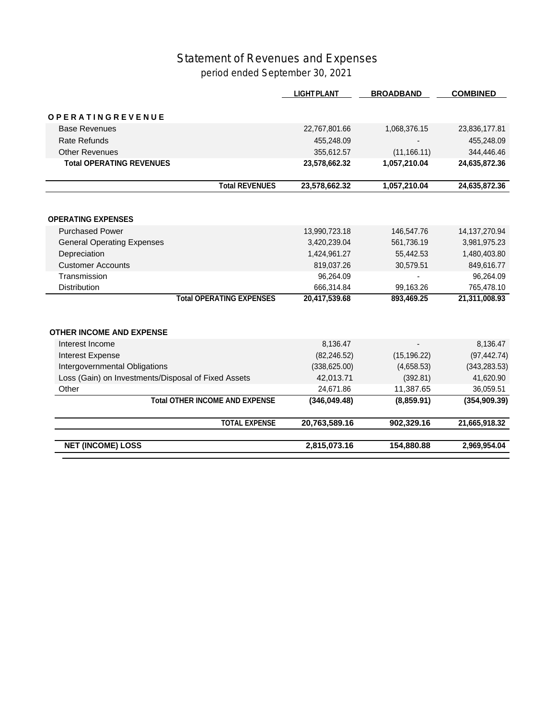## Statement of Revenues and Expenses period ended September 30, 2021

|                                                     | <b>LIGHT PLANT</b> | <b>BROADBAND</b> | <b>COMBINED</b>  |
|-----------------------------------------------------|--------------------|------------------|------------------|
| OPERATINGREVENUE                                    |                    |                  |                  |
| <b>Base Revenues</b>                                | 22,767,801.66      | 1,068,376.15     | 23,836,177.81    |
| <b>Rate Refunds</b>                                 | 455,248.09         |                  | 455,248.09       |
| <b>Other Revenues</b>                               | 355,612.57         | (11, 166.11)     | 344,446.46       |
| <b>Total OPERATING REVENUES</b>                     | 23,578,662.32      | 1,057,210.04     | 24,635,872.36    |
| <b>Total REVENUES</b>                               | 23,578,662.32      | 1,057,210.04     | 24,635,872.36    |
|                                                     |                    |                  |                  |
| <b>OPERATING EXPENSES</b>                           |                    |                  |                  |
| <b>Purchased Power</b>                              | 13,990,723.18      | 146,547.76       | 14, 137, 270. 94 |
| <b>General Operating Expenses</b>                   | 3,420,239.04       | 561,736.19       | 3,981,975.23     |
| Depreciation                                        | 1,424,961.27       | 55,442.53        | 1,480,403.80     |
| <b>Customer Accounts</b>                            | 819,037.26         | 30,579.51        | 849,616.77       |
| Transmission                                        | 96,264.09          |                  | 96,264.09        |
| <b>Distribution</b>                                 | 666,314.84         | 99,163.26        | 765,478.10       |
| <b>Total OPERATING EXPENSES</b>                     | 20,417,539.68      | 893,469.25       | 21,311,008.93    |
| <b>OTHER INCOME AND EXPENSE</b>                     |                    |                  |                  |
| Interest Income                                     | 8,136.47           |                  | 8,136.47         |
| Interest Expense                                    | (82, 246.52)       | (15, 196.22)     | (97, 442.74)     |
| Intergovernmental Obligations                       | (338, 625.00)      | (4,658.53)       | (343, 283.53)    |
| Loss (Gain) on Investments/Disposal of Fixed Assets | 42,013.71          | (392.81)         | 41,620.90        |
| Other                                               | 24,671.86          | 11,387.65        | 36,059.51        |
| <b>Total OTHER INCOME AND EXPENSE</b>               | (346, 049.48)      | (8,859.91)       | (354, 909.39)    |
| <b>TOTAL EXPENSE</b>                                | 20,763,589.16      | 902,329.16       | 21,665,918.32    |
| <b>NET (INCOME) LOSS</b>                            | 2,815,073.16       | 154,880.88       | 2,969,954.04     |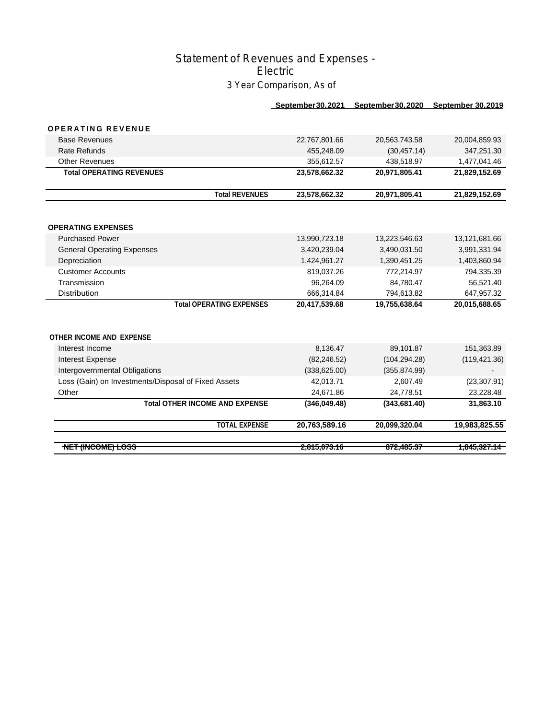### Statement of Revenues and Expenses - Electric 3 Year Comparison, As of

|                                   |                                 | September 30, 2021 | September 30, 2020 | <b>September 30,2019</b> |
|-----------------------------------|---------------------------------|--------------------|--------------------|--------------------------|
| <b>OPERATING REVENUE</b>          |                                 |                    |                    |                          |
|                                   |                                 |                    |                    |                          |
| <b>Base Revenues</b>              |                                 | 22,767,801.66      | 20,563,743.58      | 20,004,859.93            |
| <b>Rate Refunds</b>               |                                 | 455.248.09         | (30, 457, 14)      | 347,251.30               |
| <b>Other Revenues</b>             |                                 | 355,612.57         | 438,518.97         | 1,477,041.46             |
| <b>Total OPERATING REVENUES</b>   |                                 | 23,578,662.32      | 20,971,805.41      | 21,829,152.69            |
|                                   | <b>Total REVENUES</b>           | 23,578,662.32      | 20,971,805.41      | 21,829,152.69            |
|                                   |                                 |                    |                    |                          |
| <b>OPERATING EXPENSES</b>         |                                 |                    |                    |                          |
| <b>Purchased Power</b>            |                                 | 13,990,723.18      | 13,223,546.63      | 13,121,681.66            |
| <b>General Operating Expenses</b> |                                 | 3,420,239.04       | 3,490,031.50       | 3,991,331.94             |
| Depreciation                      |                                 | 1,424,961.27       | 1,390,451.25       | 1,403,860.94             |
| <b>Customer Accounts</b>          |                                 | 819,037.26         | 772.214.97         | 794,335.39               |
| Transmission                      |                                 | 96,264.09          | 84,780.47          | 56,521.40                |
| <b>Distribution</b>               |                                 | 666,314.84         | 794,613.82         | 647,957.32               |
|                                   | <b>Total OPERATING EXPENSES</b> | 20,417,539.68      | 19,755,638.64      | 20,015,688.65            |
|                                   |                                 |                    |                    |                          |
| <b>OTHER INCOME AND EXPENSE</b>   |                                 |                    |                    |                          |
| Interest Income                   |                                 | 8,136.47           | 89,101.87          | 151,363.89               |
| <b>Interest Expense</b>           |                                 | (82, 246.52)       | (104, 294.28)      | (119, 421.36)            |
|                                   |                                 |                    |                    |                          |

| <b>NET (INCOME) LOSS</b>                            |                                       | 2,815,073.16  | 872,485.37    | <del>1,845,327.14  </del> |
|-----------------------------------------------------|---------------------------------------|---------------|---------------|---------------------------|
|                                                     | <b>TOTAL EXPENSE</b>                  | 20,763,589.16 | 20,099,320.04 | 19,983,825.55             |
|                                                     | <b>Total OTHER INCOME AND EXPENSE</b> | (346,049.48)  | (343,681.40)  | 31,863.10                 |
| Other                                               |                                       | 24.671.86     | 24.778.51     | 23.228.48                 |
| Loss (Gain) on Investments/Disposal of Fixed Assets |                                       | 42.013.71     | 2.607.49      | (23, 307.91)              |
| Intergovernmental Obligations                       |                                       | (338, 625.00) | (355, 874.99) |                           |
| Interest Expense                                    |                                       | (82, 246.52)  | (104, 294.28) | (119, 421.36)             |